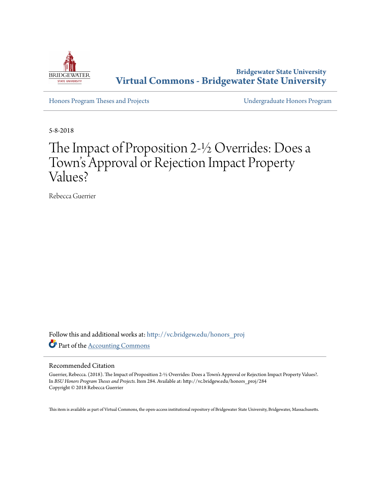

**Bridgewater State University [Virtual Commons - Bridgewater State University](http://vc.bridgew.edu?utm_source=vc.bridgew.edu%2Fhonors_proj%2F284&utm_medium=PDF&utm_campaign=PDFCoverPages)**

[Honors Program Theses and Projects](http://vc.bridgew.edu/honors_proj?utm_source=vc.bridgew.edu%2Fhonors_proj%2F284&utm_medium=PDF&utm_campaign=PDFCoverPages) [Undergraduate Honors Program](http://vc.bridgew.edu/honors?utm_source=vc.bridgew.edu%2Fhonors_proj%2F284&utm_medium=PDF&utm_campaign=PDFCoverPages)

5-8-2018

# The Impact of Proposition 2-½ Overrides: Does a Town 's Approval or Rejection Impact Property Values?

Rebecca Guerrier

Follow this and additional works at: [http://vc.bridgew.edu/honors\\_proj](http://vc.bridgew.edu/honors_proj?utm_source=vc.bridgew.edu%2Fhonors_proj%2F284&utm_medium=PDF&utm_campaign=PDFCoverPages) Part of the [Accounting Commons](http://network.bepress.com/hgg/discipline/625?utm_source=vc.bridgew.edu%2Fhonors_proj%2F284&utm_medium=PDF&utm_campaign=PDFCoverPages)

## Recommended Citation

Guerrier, Rebecca. (2018). The Impact of Proposition 2-½ Overrides: Does a Town's Approval or Rejection Impact Property Values?. In *BSU Honors Program Theses and Projects.* Item 284. Available at: http://vc.bridgew.edu/honors\_proj/284 Copyright © 2018 Rebecca Guerrier

This item is available as part of Virtual Commons, the open-access institutional repository of Bridgewater State University, Bridgewater, Massachusetts.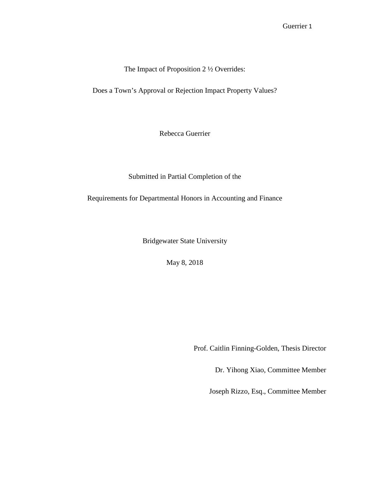The Impact of Proposition 2 ½ Overrides:

Does a Town's Approval or Rejection Impact Property Values?

Rebecca Guerrier

Submitted in Partial Completion of the

Requirements for Departmental Honors in Accounting and Finance

Bridgewater State University

May 8, 2018

Prof. Caitlin Finning-Golden, Thesis Director

Dr. Yihong Xiao, Committee Member

Joseph Rizzo, Esq., Committee Member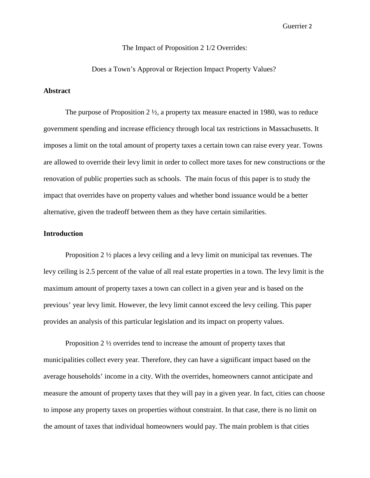## The Impact of Proposition 2 1/2 Overrides:

Does a Town's Approval or Rejection Impact Property Values?

#### **Abstract**

The purpose of Proposition 2 ½, a property tax measure enacted in 1980, was to reduce government spending and increase efficiency through local tax restrictions in Massachusetts. It imposes a limit on the total amount of property taxes a certain town can raise every year. Towns are allowed to override their levy limit in order to collect more taxes for new constructions or the renovation of public properties such as schools. The main focus of this paper is to study the impact that overrides have on property values and whether bond issuance would be a better alternative, given the tradeoff between them as they have certain similarities.

## **Introduction**

Proposition 2 ½ places a levy ceiling and a levy limit on municipal tax revenues. The levy ceiling is 2.5 percent of the value of all real estate properties in a town. The levy limit is the maximum amount of property taxes a town can collect in a given year and is based on the previous' year levy limit. However, the levy limit cannot exceed the levy ceiling. This paper provides an analysis of this particular legislation and its impact on property values.

Proposition 2 ½ overrides tend to increase the amount of property taxes that municipalities collect every year. Therefore, they can have a significant impact based on the average households' income in a city. With the overrides, homeowners cannot anticipate and measure the amount of property taxes that they will pay in a given year. In fact, cities can choose to impose any property taxes on properties without constraint. In that case, there is no limit on the amount of taxes that individual homeowners would pay. The main problem is that cities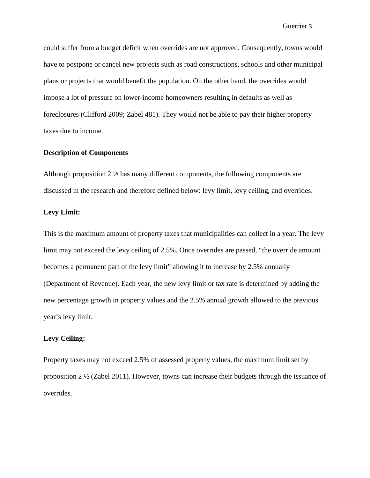could suffer from a budget deficit when overrides are not approved. Consequently, towns would have to postpone or cancel new projects such as road constructions, schools and other municipal plans or projects that would benefit the population. On the other hand, the overrides would impose a lot of pressure on lower-income homeowners resulting in defaults as well as foreclosures (Clifford 2009; Zabel 481). They would not be able to pay their higher property taxes due to income.

## **Description of Components**

Although proposition 2  $\frac{1}{2}$  has many different components, the following components are discussed in the research and therefore defined below: levy limit, levy ceiling, and overrides.

## **Levy Limit:**

This is the maximum amount of property taxes that municipalities can collect in a year. The levy limit may not exceed the levy ceiling of 2.5%. Once overrides are passed, "the override amount becomes a permanent part of the levy limit" allowing it to increase by 2.5% annually (Department of Revenue). Each year, the new levy limit or tax rate is determined by adding the new percentage growth in property values and the 2.5% annual growth allowed to the previous year's levy limit.

## **Levy Ceiling:**

Property taxes may not exceed 2.5% of assessed property values, the maximum limit set by proposition  $2 \frac{1}{2}$  (Zabel 2011). However, towns can increase their budgets through the issuance of overrides.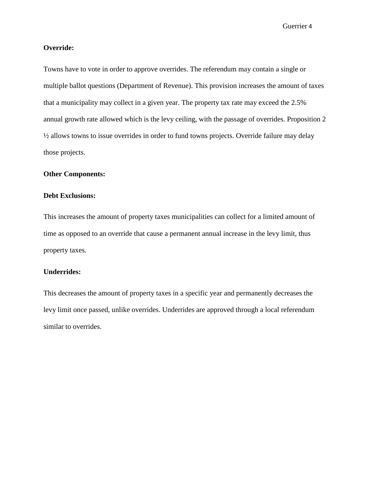## **Override:**

Towns have to vote in order to approve overrides. The referendum may contain a single or multiple ballot questions (Department of Revenue). This provision increases the amount of taxes that a municipality may collect in a given year. The property tax rate may exceed the 2.5% annual growth rate allowed which is the levy ceiling, with the passage of overrides. Proposition 2 ½ allows towns to issue overrides in order to fund towns projects. Override failure may delay those projects.

## **Other Components:**

## **Debt Exclusions:**

This increases the amount of property taxes municipalities can collect for a limited amount of time as opposed to an override that cause a permanent annual increase in the levy limit, thus property taxes.

## **Underrides:**

This decreases the amount of property taxes in a specific year and permanently decreases the levy limit once passed, unlike overrides. Underrides are approved through a local referendum similar to overrides.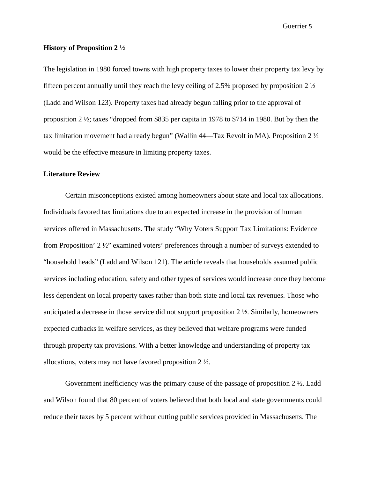#### **History of Proposition 2 ½**

The legislation in 1980 forced towns with high property taxes to lower their property tax levy by fifteen percent annually until they reach the levy ceiling of 2.5% proposed by proposition 2  $\frac{1}{2}$ (Ladd and Wilson 123). Property taxes had already begun falling prior to the approval of proposition 2 ½; taxes "dropped from \$835 per capita in 1978 to \$714 in 1980. But by then the tax limitation movement had already begun" (Wallin 44—Tax Revolt in MA). Proposition 2 ½ would be the effective measure in limiting property taxes.

#### **Literature Review**

Certain misconceptions existed among homeowners about state and local tax allocations. Individuals favored tax limitations due to an expected increase in the provision of human services offered in Massachusetts. The study "Why Voters Support Tax Limitations: Evidence from Proposition' 2 ½" examined voters' preferences through a number of surveys extended to "household heads" (Ladd and Wilson 121). The article reveals that households assumed public services including education, safety and other types of services would increase once they become less dependent on local property taxes rather than both state and local tax revenues. Those who anticipated a decrease in those service did not support proposition 2 ½. Similarly, homeowners expected cutbacks in welfare services, as they believed that welfare programs were funded through property tax provisions. With a better knowledge and understanding of property tax allocations, voters may not have favored proposition 2 ½.

Government inefficiency was the primary cause of the passage of proposition 2 ½. Ladd and Wilson found that 80 percent of voters believed that both local and state governments could reduce their taxes by 5 percent without cutting public services provided in Massachusetts. The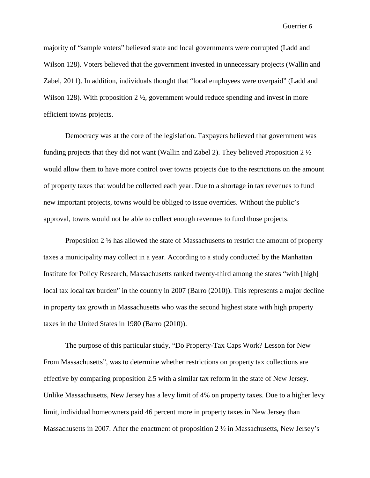majority of "sample voters" believed state and local governments were corrupted (Ladd and Wilson 128). Voters believed that the government invested in unnecessary projects (Wallin and Zabel, 2011). In addition, individuals thought that "local employees were overpaid" (Ladd and Wilson 128). With proposition  $2 \frac{1}{2}$ , government would reduce spending and invest in more efficient towns projects.

Democracy was at the core of the legislation. Taxpayers believed that government was funding projects that they did not want (Wallin and Zabel 2). They believed Proposition 2 ½ would allow them to have more control over towns projects due to the restrictions on the amount of property taxes that would be collected each year. Due to a shortage in tax revenues to fund new important projects, towns would be obliged to issue overrides. Without the public's approval, towns would not be able to collect enough revenues to fund those projects.

Proposition  $2 \frac{1}{2}$  has allowed the state of Massachusetts to restrict the amount of property taxes a municipality may collect in a year. According to a study conducted by the Manhattan Institute for Policy Research, Massachusetts ranked twenty-third among the states "with [high] local tax local tax burden" in the country in 2007 (Barro (2010)). This represents a major decline in property tax growth in Massachusetts who was the second highest state with high property taxes in the United States in 1980 (Barro (2010)).

The purpose of this particular study, "Do Property-Tax Caps Work? Lesson for New From Massachusetts", was to determine whether restrictions on property tax collections are effective by comparing proposition 2.5 with a similar tax reform in the state of New Jersey. Unlike Massachusetts, New Jersey has a levy limit of 4% on property taxes. Due to a higher levy limit, individual homeowners paid 46 percent more in property taxes in New Jersey than Massachusetts in 2007. After the enactment of proposition 2 ½ in Massachusetts, New Jersey's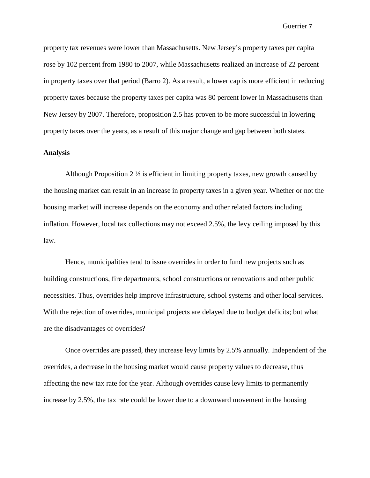property tax revenues were lower than Massachusetts. New Jersey's property taxes per capita rose by 102 percent from 1980 to 2007, while Massachusetts realized an increase of 22 percent in property taxes over that period (Barro 2). As a result, a lower cap is more efficient in reducing property taxes because the property taxes per capita was 80 percent lower in Massachusetts than New Jersey by 2007. Therefore, proposition 2.5 has proven to be more successful in lowering property taxes over the years, as a result of this major change and gap between both states.

#### **Analysis**

Although Proposition  $2 \frac{1}{2}$  is efficient in limiting property taxes, new growth caused by the housing market can result in an increase in property taxes in a given year. Whether or not the housing market will increase depends on the economy and other related factors including inflation. However, local tax collections may not exceed 2.5%, the levy ceiling imposed by this law.

Hence, municipalities tend to issue overrides in order to fund new projects such as building constructions, fire departments, school constructions or renovations and other public necessities. Thus, overrides help improve infrastructure, school systems and other local services. With the rejection of overrides, municipal projects are delayed due to budget deficits; but what are the disadvantages of overrides?

Once overrides are passed, they increase levy limits by 2.5% annually. Independent of the overrides, a decrease in the housing market would cause property values to decrease, thus affecting the new tax rate for the year. Although overrides cause levy limits to permanently increase by 2.5%, the tax rate could be lower due to a downward movement in the housing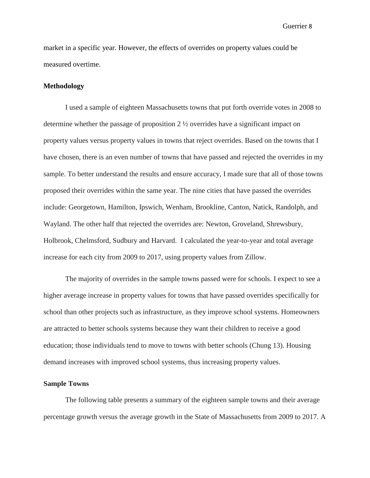market in a specific year. However, the effects of overrides on property values could be measured overtime.

## **Methodology**

I used a sample of eighteen Massachusetts towns that put forth override votes in 2008 to determine whether the passage of proposition  $2 \frac{1}{2}$  overrides have a significant impact on property values versus property values in towns that reject overrides. Based on the towns that I have chosen, there is an even number of towns that have passed and rejected the overrides in my sample. To better understand the results and ensure accuracy, I made sure that all of those towns proposed their overrides within the same year. The nine cities that have passed the overrides include: Georgetown, Hamilton, Ipswich, Wenham, Brookline, Canton, Natick, Randolph, and Wayland. The other half that rejected the overrides are: Newton, Groveland, Shrewsbury, Holbrook, Chelmsford, Sudbury and Harvard. I calculated the year-to-year and total average increase for each city from 2009 to 2017, using property values from Zillow.

The majority of overrides in the sample towns passed were for schools. I expect to see a higher average increase in property values for towns that have passed overrides specifically for school than other projects such as infrastructure, as they improve school systems. Homeowners are attracted to better schools systems because they want their children to receive a good education; those individuals tend to move to towns with better schools (Chung 13). Housing demand increases with improved school systems, thus increasing property values.

## **Sample Towns**

The following table presents a summary of the eighteen sample towns and their average percentage growth versus the average growth in the State of Massachusetts from 2009 to 2017. A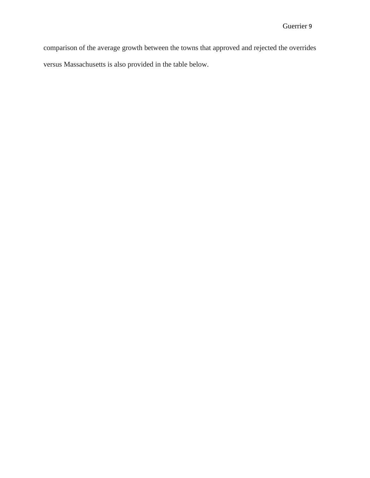comparison of the average growth between the towns that approved and rejected the overrides versus Massachusetts is also provided in the table below.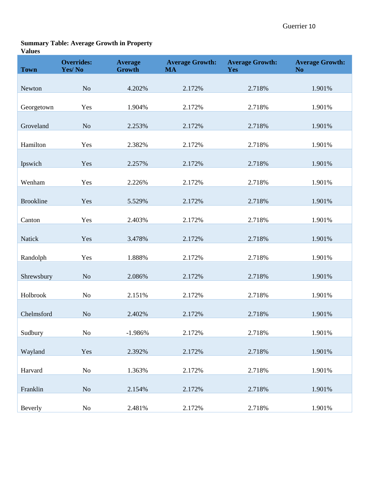# **Summary Table: Average Growth in Property**

## **Values**

| <b>Town</b>      | <b>Overrides:</b><br>Yes/No | <b>Average</b><br><b>Growth</b> | <b>Average Growth:</b><br><b>MA</b> | <b>Average Growth:</b><br>Yes | <b>Average Growth:</b><br>N <sub>o</sub> |
|------------------|-----------------------------|---------------------------------|-------------------------------------|-------------------------------|------------------------------------------|
|                  |                             |                                 |                                     |                               |                                          |
| Newton           | No                          | 4.202%                          | 2.172%                              | 2.718%                        | 1.901%                                   |
| Georgetown       | Yes                         | 1.904%                          | 2.172%                              | 2.718%                        | 1.901%                                   |
| Groveland        | N <sub>o</sub>              | 2.253%                          | 2.172%                              | 2.718%                        | 1.901%                                   |
| Hamilton         | Yes                         | 2.382%                          | 2.172%                              | 2.718%                        | 1.901%                                   |
|                  |                             |                                 |                                     |                               |                                          |
| Ipswich          | Yes                         | 2.257%                          | 2.172%                              | 2.718%                        | 1.901%                                   |
| Wenham           | Yes                         | 2.226%                          | 2.172%                              | 2.718%                        | 1.901%                                   |
| <b>Brookline</b> | Yes                         | 5.529%                          | 2.172%                              | 2.718%                        | 1.901%                                   |
| Canton           | Yes                         | 2.403%                          | 2.172%                              | 2.718%                        | 1.901%                                   |
|                  |                             |                                 |                                     |                               |                                          |
| Natick           | Yes                         | 3.478%                          | 2.172%                              | 2.718%                        | 1.901%                                   |
| Randolph         | Yes                         | 1.888%                          | 2.172%                              | 2.718%                        | 1.901%                                   |
| Shrewsbury       | <b>No</b>                   | 2.086%                          | 2.172%                              | 2.718%                        | 1.901%                                   |
| Holbrook         | N <sub>o</sub>              | 2.151%                          | 2.172%                              | 2.718%                        | 1.901%                                   |
| Chelmsford       | N <sub>o</sub>              | 2.402%                          | 2.172%                              | 2.718%                        | 1.901%                                   |
| Sudbury          | $\rm No$                    | $-1.986%$                       | 2.172%                              | 2.718%                        | 1.901%                                   |
|                  |                             |                                 |                                     |                               |                                          |
| Wayland          | Yes                         | 2.392%                          | 2.172%                              | 2.718%                        | 1.901%                                   |
| Harvard          | No                          | 1.363%                          | 2.172%                              | 2.718%                        | 1.901%                                   |
| Franklin         | No                          | 2.154%                          | 2.172%                              | 2.718%                        | 1.901%                                   |
| Beverly          | No                          | 2.481%                          | 2.172%                              | 2.718%                        | 1.901%                                   |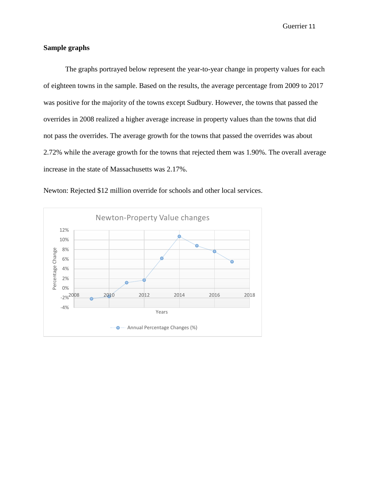## **Sample graphs**

The graphs portrayed below represent the year-to-year change in property values for each of eighteen towns in the sample. Based on the results, the average percentage from 2009 to 2017 was positive for the majority of the towns except Sudbury. However, the towns that passed the overrides in 2008 realized a higher average increase in property values than the towns that did not pass the overrides. The average growth for the towns that passed the overrides was about 2.72% while the average growth for the towns that rejected them was 1.90%. The overall average increase in the state of Massachusetts was 2.17%.



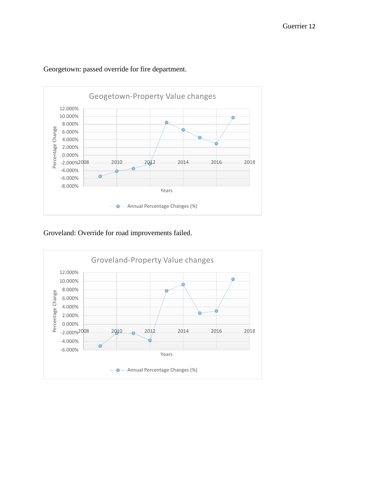

## Georgetown: passed override for fire department.

Groveland: Override for road improvements failed.

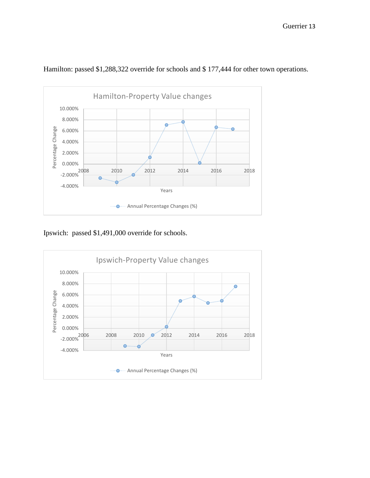

Hamilton: passed \$1,288,322 override for schools and \$ 177,444 for other town operations.

Ipswich: passed \$1,491,000 override for schools.

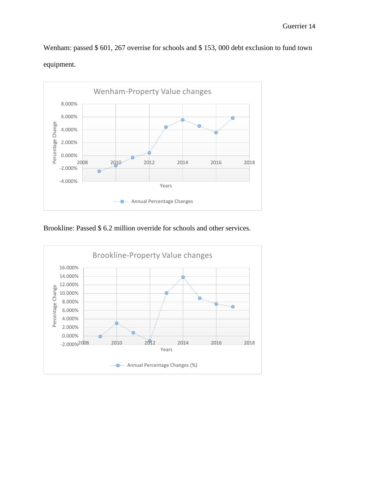Wenham: passed \$ 601, 267 overrise for schools and \$ 153, 000 debt exclusion to fund town equipment.



Brookline: Passed \$ 6.2 million override for schools and other services.

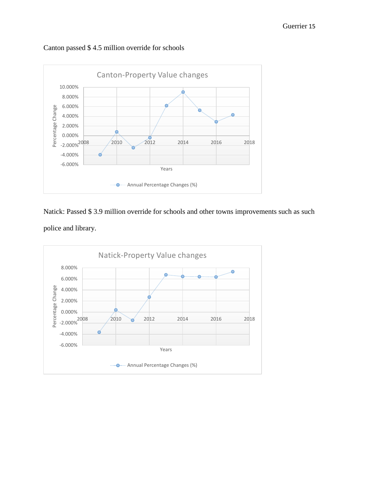# Canton passed \$ 4.5 million override for schools



Natick: Passed \$ 3.9 million override for schools and other towns improvements such as such police and library.

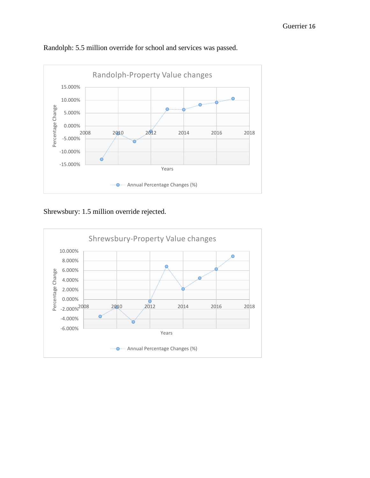

Randolph: 5.5 million override for school and services was passed.

Shrewsbury: 1.5 million override rejected.

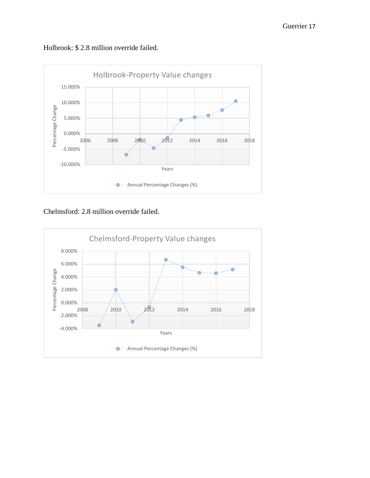



Chelmsford: 2.8 million override failed.

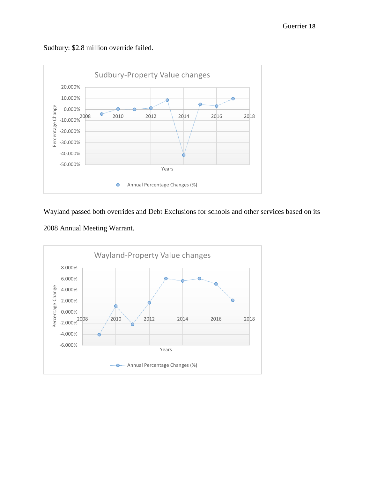Sudbury: \$2.8 million override failed.



Wayland passed both overrides and Debt Exclusions for schools and other services based on its



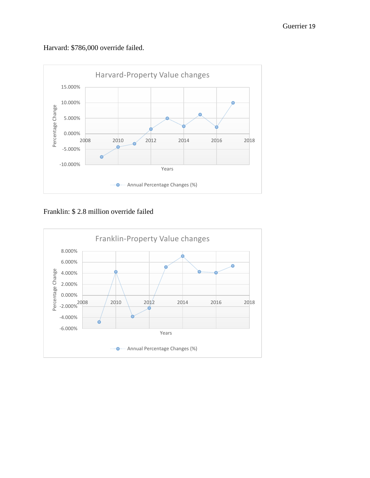Harvard: \$786,000 override failed.



Franklin: \$ 2.8 million override failed

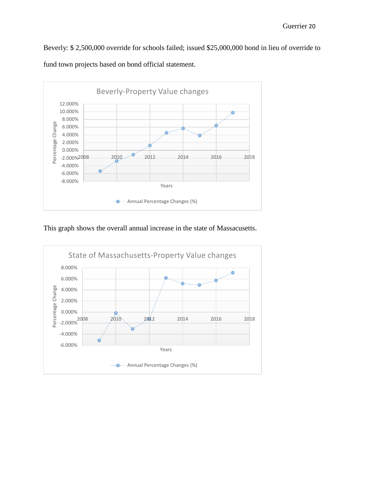Beverly: \$ 2,500,000 override for schools failed; issued \$25,000,000 bond in lieu of override to fund town projects based on bond official statement.



This graph shows the overall annual increase in the state of Massacusetts.

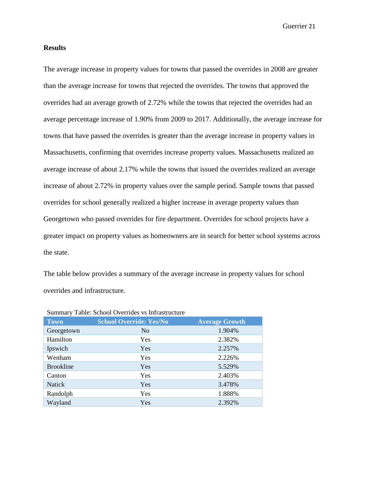## **Results**

The average increase in property values for towns that passed the overrides in 2008 are greater than the average increase for towns that rejected the overrides. The towns that approved the overrides had an average growth of 2.72% while the towns that rejected the overrides had an average percentage increase of 1.90% from 2009 to 2017. Additionally, the average increase for towns that have passed the overrides is greater than the average increase in property values in Massachusetts, confirming that overrides increase property values. Massachusetts realized an average increase of about 2.17% while the towns that issued the overrides realized an average increase of about 2.72% in property values over the sample period. Sample towns that passed overrides for school generally realized a higher increase in average property values than Georgetown who passed overrides for fire department. Overrides for school projects have a greater impact on property values as homeowners are in search for better school systems across the state.

The table below provides a summary of the average increase in property values for school overrides and infrastructure.

| <b>Town</b>      | <b>School Override: Yes/No</b> | <b>Average Growth</b> |
|------------------|--------------------------------|-----------------------|
| Georgetown       | N <sub>o</sub>                 | 1.904%                |
| Hamilton         | Yes                            | 2.382%                |
| Ipswich          | Yes                            | 2.257%                |
| Wenham           | Yes                            | 2.226%                |
| <b>Brookline</b> | Yes                            | 5.529%                |
| Canton           | <b>Yes</b>                     | 2.403%                |
| <b>Natick</b>    | Yes                            | 3.478%                |
| Randolph         | Yes                            | 1.888%                |
| Wayland          | Yes                            | 2.392%                |

Summary Table: School Overrides vs Infrastructure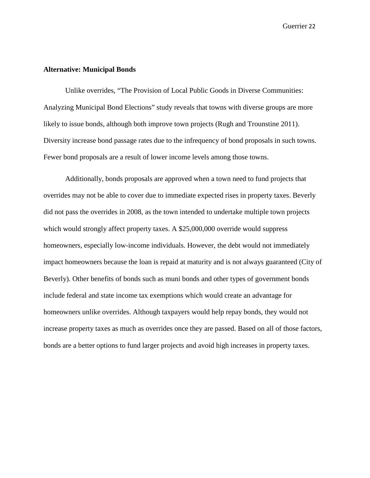## **Alternative: Municipal Bonds**

Unlike overrides, "The Provision of Local Public Goods in Diverse Communities: Analyzing Municipal Bond Elections" study reveals that towns with diverse groups are more likely to issue bonds, although both improve town projects (Rugh and Trounstine 2011). Diversity increase bond passage rates due to the infrequency of bond proposals in such towns. Fewer bond proposals are a result of lower income levels among those towns.

Additionally, bonds proposals are approved when a town need to fund projects that overrides may not be able to cover due to immediate expected rises in property taxes. Beverly did not pass the overrides in 2008, as the town intended to undertake multiple town projects which would strongly affect property taxes. A \$25,000,000 override would suppress homeowners, especially low-income individuals. However, the debt would not immediately impact homeowners because the loan is repaid at maturity and is not always guaranteed (City of Beverly). Other benefits of bonds such as muni bonds and other types of government bonds include federal and state income tax exemptions which would create an advantage for homeowners unlike overrides. Although taxpayers would help repay bonds, they would not increase property taxes as much as overrides once they are passed. Based on all of those factors, bonds are a better options to fund larger projects and avoid high increases in property taxes.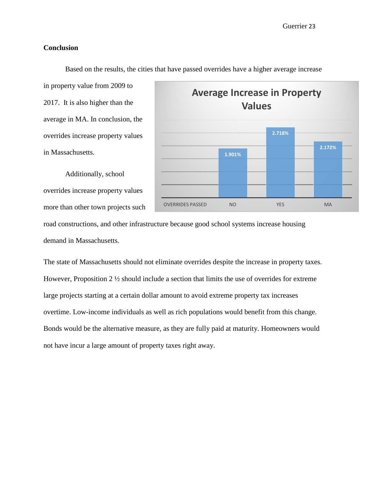## **Conclusion**

in property value from 2009 to 2017. It is also higher than the average in MA. In conclusion, the overrides increase property values in Massachusetts.

Additionally, school overrides increase property values more than other town projects such



Based on the results, the cities that have passed overrides have a higher average increase

road constructions, and other infrastructure because good school systems increase housing demand in Massachusetts.

The state of Massachusetts should not eliminate overrides despite the increase in property taxes. However, Proposition 2 ½ should include a section that limits the use of overrides for extreme large projects starting at a certain dollar amount to avoid extreme property tax increases overtime. Low-income individuals as well as rich populations would benefit from this change. Bonds would be the alternative measure, as they are fully paid at maturity. Homeowners would not have incur a large amount of property taxes right away.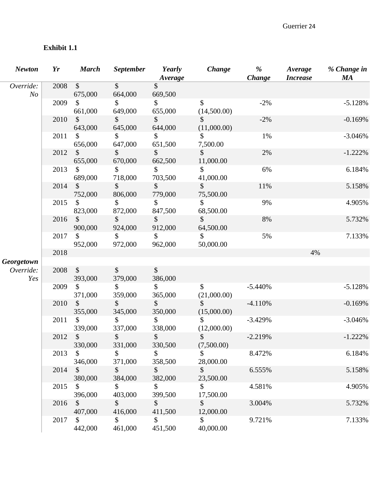# **Exhibit 1.1**

| <b>Newton</b>               | Yr   | <b>March</b>                         | <b>September</b>         | Yearly<br>Average        | Change                       | %<br>Change | Average<br><b>Increase</b> | % Change in<br><b>MA</b> |
|-----------------------------|------|--------------------------------------|--------------------------|--------------------------|------------------------------|-------------|----------------------------|--------------------------|
| Override:<br>N <sub>o</sub> | 2008 | $\sqrt{\ }$<br>675,000               | $\sqrt{\ }$<br>664,000   | \$<br>669,500            |                              |             |                            |                          |
|                             | 2009 | \$<br>661,000                        | \$<br>649,000            | \$<br>655,000            | $\$\$<br>(14,500.00)         | $-2%$       |                            | $-5.128%$                |
|                             | 2010 | $\mathbb{S}$<br>643,000              | \$<br>645,000            | $\mathcal{S}$<br>644,000 | S<br>(11,000.00)             | $-2%$       |                            | $-0.169%$                |
|                             | 2011 | \$<br>656,000                        | \$<br>647,000            | \$<br>651,500            | \$<br>7,500.00               | 1%          |                            | $-3.046%$                |
|                             | 2012 | $\mathcal{S}$<br>655,000             | $\mathcal{S}$<br>670,000 | $\mathcal{S}$<br>662,500 | $\mathcal{S}$<br>11,000.00   | 2%          |                            | $-1.222\%$               |
|                             | 2013 | \$<br>689,000                        | \$<br>718,000            | \$<br>703,500            | \$<br>41,000.00              | 6%          |                            | 6.184%                   |
|                             | 2014 | $\boldsymbol{\mathsf{S}}$<br>752,000 | \$<br>806,000            | \$<br>779,000            | \$<br>75,500.00              | 11%         |                            | 5.158%                   |
|                             | 2015 | $\mathbb{S}$<br>823,000              | \$<br>872,000            | \$<br>847,500            | \$<br>68,500.00              | 9%          |                            | 4.905%                   |
|                             | 2016 | $\sqrt{\ }$<br>900,000               | \$<br>924,000            | \$<br>912,000            | $\mathcal{S}$<br>64,500.00   | 8%          |                            | 5.732%                   |
|                             | 2017 | \$<br>952,000                        | \$<br>972,000            | $\mathbb{S}$<br>962,000  | \$<br>50,000.00              | 5%          |                            | 7.133%                   |
|                             | 2018 |                                      |                          |                          |                              |             | 4%                         |                          |
| Georgetown                  |      |                                      |                          |                          |                              |             |                            |                          |
| Override:<br>Yes            | 2008 | $\sqrt{\ }$<br>393,000               | \$<br>379,000            | \$<br>386,000            |                              |             |                            |                          |
|                             | 2009 | $\mathbb{S}$<br>371,000              | \$<br>359,000            | \$<br>365,000            | \$<br>(21,000.00)            | $-5.440%$   |                            | $-5.128%$                |
|                             | 2010 | $\boldsymbol{\mathsf{S}}$<br>355,000 | \$<br>345,000            | \$<br>350,000            | $\mathcal{S}$<br>(15,000.00) | $-4.110%$   |                            | $-0.169%$                |
|                             | 2011 | \$<br>339,000                        | \$<br>337,000            | \$<br>338,000            | (12,000.00)                  | $-3.429%$   |                            | $-3.046%$                |
|                             | 2012 | $\mathcal{S}$<br>330,000             | $\mathbb{S}$<br>331,000  | $\mathbb{S}$<br>330,500  | $\mathbb{S}$<br>(7,500.00)   | $-2.219%$   |                            | $-1.222%$                |
|                             | 2013 | $\mathcal{S}$<br>346,000             | \$<br>371,000            | $\frac{1}{2}$<br>358,500 | $\mathbb{S}$<br>28,000.00    | 8.472%      |                            | 6.184%                   |
|                             | 2014 | $\mathcal{S}$<br>380,000             | $\mathbb{S}$<br>384,000  | $\mathcal{S}$<br>382,000 | $\mathbb{S}$<br>23,500.00    | 6.555%      |                            | 5.158%                   |
|                             | 2015 | $\mathcal{S}$<br>396,000             | \$<br>403,000            | \$<br>399,500            | $\mathcal{S}$<br>17,500.00   | 4.581%      |                            | 4.905%                   |
|                             | 2016 | $\mathcal{S}$<br>407,000             | $\mathcal{S}$<br>416,000 | $\mathcal{S}$<br>411,500 | $\mathcal{S}$<br>12,000.00   | 3.004%      |                            | 5.732%                   |
|                             | 2017 | $\mathbb{S}$<br>442,000              | \$<br>461,000            | \$<br>451,500            | $\mathbb{S}$<br>40,000.00    | 9.721%      |                            | 7.133%                   |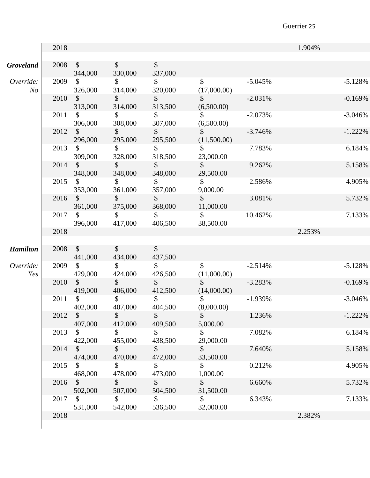|                             | 2018 |                                      |                          |                                      |                                          |           | 1.904% |            |
|-----------------------------|------|--------------------------------------|--------------------------|--------------------------------------|------------------------------------------|-----------|--------|------------|
|                             |      |                                      |                          |                                      |                                          |           |        |            |
| <b>Groveland</b>            | 2008 | $\mathcal{S}$<br>344,000             | $\mathcal{S}$<br>330,000 | $\boldsymbol{\mathsf{S}}$<br>337,000 |                                          |           |        |            |
| Override:<br>N <sub>O</sub> | 2009 | 326,000                              | $\mathbb{S}$<br>314,000  | $\mathbb{S}^-$<br>320,000            | $\mathcal{S}$<br>(17,000.00)             | $-5.045%$ |        | $-5.128%$  |
|                             | 2010 | $\mathcal{S}$<br>313,000             | $\mathcal{S}$<br>314,000 | $\frac{1}{2}$<br>313,500             | $\mathcal{S}$<br>(6,500.00)              | $-2.031%$ |        | $-0.169%$  |
|                             | 2011 | $\mathbb{S}$                         | $\mathbb{S}$             | $\mathbb{S}^-$                       | $\mathbb{S}$                             | $-2.073%$ |        | $-3.046%$  |
|                             | 2012 | 306,000<br>$\mathbb{S}$              | 308,000<br>$\mathsf{S}$  | 307,000<br>$\frac{1}{2}$             | (6,500.00)<br>$\mathbb{S}$               | $-3.746%$ |        | $-1.222\%$ |
|                             | 2013 | 296,000<br>$\boldsymbol{\mathsf{S}}$ | 295,000<br>\$            | 295,500<br>\$                        | (11,500.00)<br>\$                        | 7.783%    |        | 6.184%     |
|                             | 2014 | 309,000<br>$\mathcal{S}$             | 328,000<br>$\mathcal{S}$ | 318,500<br>$\mathcal{S}$             | 23,000.00<br>$\mathbb{S}$                | 9.262%    |        | 5.158%     |
|                             | 2015 | 348,000<br>$\mathcal{S}$             | 348,000<br>$\mathbb{S}$  | 348,000<br>$\mathcal{S}$             | 29,500.00<br>$\mathbb{S}$                | 2.586%    |        | 4.905%     |
|                             | 2016 | 353,000<br>$\sqrt{\ }$               | 361,000<br>$\mathbb{S}$  | 357,000<br>$\mathcal{S}$             | 9,000.00<br>$\mathbb{S}$                 | 3.081%    |        | 5.732%     |
|                             | 2017 | 361,000<br>$\mathbb{S}$              | 375,000<br>$\mathbb{S}$  | 368,000<br>$\mathbb{S}$              | 11,000.00<br>$\mathbb{S}$                | 10.462%   |        | 7.133%     |
|                             | 2018 | 396,000                              | 417,000                  | 406,500                              | 38,500.00                                |           | 2.253% |            |
|                             |      |                                      |                          |                                      |                                          |           |        |            |
| <b>Hamilton</b>             | 2008 | $\mathcal{S}$<br>441,000             | $\mathbb{S}$<br>434,000  | $\frac{1}{2}$<br>437,500             |                                          |           |        |            |
| Override:<br>Yes            | 2009 | $\mathbb{S}$<br>429,000              | $\mathcal{S}$<br>424,000 | \$<br>426,500                        | $\boldsymbol{\mathsf{S}}$<br>(11,000.00) | $-2.514%$ |        | $-5.128%$  |
|                             | 2010 | $\mathcal{S}$<br>419,000             | $\mathsf{\$}$<br>406,000 | $\mathbb{S}$<br>412,500              | $\mathsf{\$}$<br>(14,000.00)             | $-3.283%$ |        | $-0.169%$  |
|                             | 2011 | \$<br>402,000                        | \$<br>407,000            | \$<br>404,500                        | \$<br>(8,000.00)                         | $-1.939%$ |        | $-3.046%$  |
|                             | 2012 | $\mathcal{S}$<br>407,000             | \$<br>412,000            | \$<br>409,500                        | \$<br>5,000.00                           | 1.236%    |        | $-1.222\%$ |
|                             | 2013 | $\mathbb{S}$                         | \$                       | \$                                   | \$                                       | 7.082%    |        | 6.184%     |
|                             | 2014 | 422,000<br>$\mathcal{S}$             | 455,000<br>\$            | 438,500<br>\$                        | 29,000.00<br>\$                          | 7.640%    |        | 5.158%     |
|                             | 2015 | 474,000<br>\$                        | 470,000<br>\$            | 472,000<br>\$                        | 33,500.00<br>\$                          | 0.212%    |        | 4.905%     |
|                             | 2016 | 468,000<br>\$                        | 478,000<br>\$            | 473,000<br>\$                        | 1,000.00<br>\$                           | 6.660%    |        | 5.732%     |
|                             | 2017 | 502,000<br>\$                        | 507,000<br>\$            | 504,500<br>\$                        | 31,500.00<br>\$                          | 6.343%    |        | 7.133%     |
|                             | 2018 | 531,000                              | 542,000                  | 536,500                              | 32,000.00                                |           | 2.382% |            |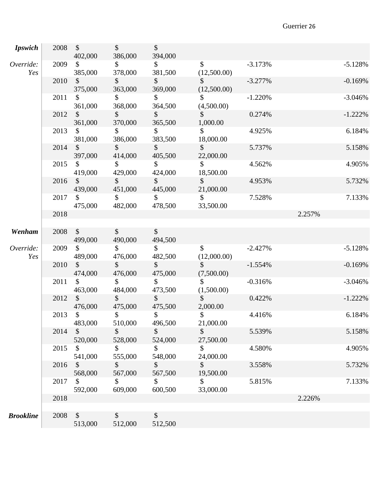| <b>Ipswich</b>   | 2008 | $\sqrt{\ }$<br>402,000               | $\mathcal{S}$<br>386,000 | $\mathcal{S}$<br>394,000 |                              |           |            |
|------------------|------|--------------------------------------|--------------------------|--------------------------|------------------------------|-----------|------------|
| Override:<br>Yes | 2009 | $\mathbb{S}$<br>385,000              | $\mathcal{S}$<br>378,000 | \$<br>381,500            | $\mathcal{S}$<br>(12,500.00) | $-3.173%$ | $-5.128%$  |
|                  | 2010 | $\boldsymbol{\mathsf{S}}$<br>375,000 | \$<br>363,000            | $\mathcal{S}$<br>369,000 | $\mathcal{S}$<br>(12,500.00) | $-3.277%$ | $-0.169%$  |
|                  | 2011 | $\mathbb{S}$<br>361,000              | $\mathbb{S}$<br>368,000  | $\mathcal{S}$<br>364,500 | $\mathbb{S}$<br>(4,500.00)   | $-1.220%$ | $-3.046%$  |
|                  | 2012 | $\sqrt{\ }$<br>361,000               | $\mathcal{S}$<br>370,000 | \$<br>365,500            | $\mathbb{S}$<br>1,000.00     | 0.274%    | $-1.222%$  |
|                  | 2013 | $\mathbb{S}$<br>381,000              | $\mathbb{S}$<br>386,000  | $\mathbb{S}$<br>383,500  | $\mathbb{S}$<br>18,000.00    | 4.925%    | 6.184%     |
|                  | 2014 | $\mathcal{S}$<br>397,000             | $\mathcal{S}$<br>414,000 | $\mathcal{S}$<br>405,500 | $\mathbb{S}$<br>22,000.00    | 5.737%    | 5.158%     |
|                  | 2015 | \$<br>419,000                        | \$<br>429,000            | $\frac{1}{2}$<br>424,000 | $\mathcal{S}$<br>18,500.00   | 4.562%    | 4.905%     |
|                  | 2016 | $\mathcal{S}$<br>439,000             | $\frac{1}{2}$<br>451,000 | $\mathcal{S}$<br>445,000 | $\mathbb{S}$<br>21,000.00    | 4.953%    | 5.732%     |
|                  | 2017 | $\mathbb{S}$<br>475,000              | $\mathbb{S}$<br>482,000  | $\mathbb{S}$<br>478,500  | $\mathbb{S}$<br>33,500.00    | 7.528%    | 7.133%     |
|                  | 2018 |                                      |                          |                          |                              |           | 2.257%     |
| Wenham           | 2008 | $\mathcal{S}$<br>499,000             | $\mathcal{S}$<br>490,000 | $\sqrt{3}$<br>494,500    |                              |           |            |
| Override:<br>Yes | 2009 | $\mathbb{S}$<br>489,000              | $\mathbb{S}$<br>476,000  | $\mathbb{S}$<br>482,500  | $\mathbb{S}$<br>(12,000.00)  | $-2.427%$ | $-5.128%$  |
|                  | 2010 | $\mathcal{S}$<br>474,000             | $\mathcal{S}$<br>476,000 | $\mathbb{S}$<br>475,000  | $\mathbb{S}$<br>(7,500.00)   | $-1.554%$ | $-0.169%$  |
|                  | 2011 | $\mathbb{S}$<br>463,000              | $\mathbb{S}$<br>484,000  | $\mathbb{S}$<br>473,500  | $\mathcal{S}$<br>(1,500.00)  | $-0.316%$ | $-3.046%$  |
|                  | 2012 | $\mathcal{S}$<br>476,000             | $\mathcal{S}$<br>475,000 | $\sqrt{\ }$<br>475,500   | $\mathcal{S}$<br>2,000.00    | 0.422%    | $-1.222\%$ |
|                  | 2013 | \$<br>483,000                        | $\mathbb{S}$<br>510,000  | \$<br>496,500            | \$<br>21,000.00              | 4.416%    | 6.184%     |
|                  | 2014 | $\mathcal{S}$<br>520,000             | \$<br>528,000            | $\sqrt{\ }$<br>524,000   | $\mathbb{S}$<br>27,500.00    | 5.539%    | 5.158%     |
|                  | 2015 | $\mathbb{S}$<br>541,000              | \$<br>555,000            | \$<br>548,000            | \$<br>24,000.00              | 4.580%    | 4.905%     |
|                  | 2016 | \$<br>568,000                        | \$<br>567,000            | \$<br>567,500            | \$<br>19,500.00              | 3.558%    | 5.732%     |
|                  | 2017 | \$<br>592,000                        | $\mathcal{S}$<br>609,000 | \$<br>600,500            | $\mathcal{S}$<br>33,000.00   | 5.815%    | 7.133%     |
|                  | 2018 |                                      |                          |                          |                              |           | 2.226%     |
|                  |      |                                      |                          |                          |                              |           |            |
| <b>Brookline</b> | 2008 | $\mathcal{S}$<br>513,000             | \$<br>512,000            | \$<br>512,500            |                              |           |            |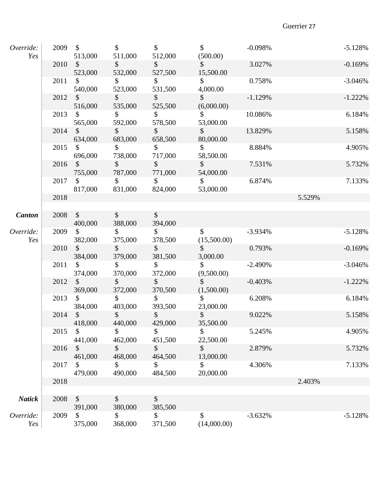| Override:<br>Yes |         | 2009 \$<br>513,000        | $\mathbb{S}$<br>511,000  | $\mathbb{S}$<br>512,000   | $\mathsf{\$}$<br>(500.00)   | $-0.098%$ | $-5.128%$  |
|------------------|---------|---------------------------|--------------------------|---------------------------|-----------------------------|-----------|------------|
|                  | 2010    | $\sim$<br>523,000         | $\sim$<br>532,000        | $\mathsf{\$}$<br>527,500  | $\sim$<br>15,500.00         | 3.027%    | $-0.169%$  |
|                  | 2011    | $\mathbb{S}$<br>540,000   | $\mathbb{S}$<br>523,000  | $\mathbb{S}$<br>531,500   | $\mathbb{S}$<br>4,000.00    | 0.758%    | $-3.046%$  |
|                  | 2012    | $\mathcal{S}$<br>516,000  | $\mathsf{\$}$<br>535,000 | $\mathbb{S}$<br>525,500   | $\mathbb{S}$<br>(6,000.00)  | $-1.129%$ | $-1.222\%$ |
|                  | 2013    | $\frac{1}{2}$<br>565,000  | $\sim$<br>592,000        | $\mathsf{\$}$<br>578,500  | $\mathbb{S}$<br>53,000.00   | 10.086%   | 6.184%     |
|                  | 2014    | $\sim$<br>634,000         | $\sim$<br>683,000        | $\sim$<br>658,500         | $\sim$<br>80,000.00         | 13.829%   | 5.158%     |
|                  | 2015    | $\sqrt{\ }$<br>696,000    | $\mathbb{S}$<br>738,000  | $\mathbb{S}$<br>717,000   | $\mathbb{S}$<br>58,500.00   | 8.884%    | 4.905%     |
|                  | 2016    | $\mathbb{S}$<br>755,000   | $\mathbb{S}$<br>787,000  | $\mathbb{S}$<br>771,000   | $\mathbb{S}$<br>54,000.00   | 7.531%    | 5.732%     |
|                  | 2017    | $\mathbb{S}$<br>817,000   | $\sim$<br>831,000        | $\mathbb{S}$<br>824,000   | $\sim$<br>53,000.00         | 6.874%    | 7.133%     |
|                  | 2018    |                           |                          |                           |                             |           | 5.529%     |
| <b>Canton</b>    | 2008 \$ | 400,000                   | $\frac{1}{2}$<br>388,000 | $\mathcal{S}$<br>394,000  |                             |           |            |
| Override:<br>Yes | 2009    | $\mathcal{S}$<br>382,000  | $\sim$<br>375,000        | $\mathsf{\$}$<br>378,500  | $\mathbb{S}$<br>(15,500.00) | $-3.934%$ | $-5.128%$  |
|                  | 2010 \$ | 384,000                   | $\mathbb{S}$<br>379,000  | $\mathbb{S}$<br>381,500   | $\mathbb{S}$<br>3,000.00    | 0.793%    | $-0.169%$  |
|                  | 2011    | $\mathcal{S}$<br>374,000  | $\mathbb{S}$<br>370,000  | $\mathbb{S}^-$<br>372,000 | $\mathbb{S}$<br>(9,500.00)  | $-2.490%$ | $-3.046%$  |
|                  | 2012    | $\mathbb{S}$<br>369,000   | $\mathsf{\$}$<br>372,000 | $\sim$<br>370,500         | $\mathbb{S}$<br>(1,500.00)  | $-0.403%$ | $-1.222\%$ |
|                  | 2013    | $\mathbb{S}$<br>384,000   | $\mathbb{S}$<br>403,000  | $\mathbb{S}$<br>393,500   | $\mathbb{S}$<br>23,000.00   | 6.208%    | 6.184%     |
|                  | 2014 \$ | 418,000                   | $\phi$<br>440,000        | $\mathcal{D}$<br>429,000  | $\mathcal{S}$<br>35,500.00  | 9.022%    | 5.158%     |
|                  | 2015    | \$<br>441,000             | \$<br>462,000            | \$<br>451,500             | \$<br>22,500.00             | 5.245%    | 4.905%     |
|                  | 2016    | \$<br>461,000             | \$<br>468,000            | $\mathcal{S}$<br>464,500  | \$<br>13,000.00             | 2.879%    | 5.732%     |
|                  | 2017    | \$<br>479,000             | \$<br>490,000            | \$<br>484,500             | \$<br>20,000.00             | 4.306%    | 7.133%     |
|                  | 2018    |                           |                          |                           |                             |           | 2.403%     |
| <b>Natick</b>    | 2008    | $\boldsymbol{\mathsf{S}}$ | \$                       | \$                        |                             |           |            |
| Override:<br>Yes | 2009    | 391,000<br>\$<br>375,000  | 380,000<br>\$<br>368,000 | 385,500<br>\$<br>371,500  | \$<br>(14,000.00)           | $-3.632%$ | $-5.128%$  |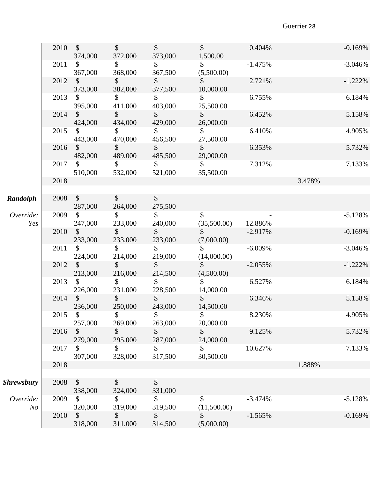|                             | 2010 | $\mathbb{S}$<br>374,000              | $\mathcal{S}$<br>372,000  | $\mathcal{S}$<br>373,000             | $\mathbb{S}$<br>1,500.00    | 0.404%    | $-0.169%$  |
|-----------------------------|------|--------------------------------------|---------------------------|--------------------------------------|-----------------------------|-----------|------------|
|                             | 2011 | \$<br>367,000                        | \$<br>368,000             | \$<br>367,500                        | $\mathbb{S}$<br>(5,500.00)  | $-1.475%$ | $-3.046%$  |
|                             | 2012 | $\frac{1}{2}$<br>373,000             | $\mathcal{S}$<br>382,000  | $\mathsf{\$}$<br>377,500             | $\mathcal{S}$<br>10,000.00  | 2.721%    | $-1.222\%$ |
|                             | 2013 | $\mathbb{S}$<br>395,000              | \$<br>411,000             | $\mathcal{S}$<br>403,000             | $\mathbb{S}^-$<br>25,500.00 | 6.755%    | 6.184%     |
|                             | 2014 | $\mathcal{S}$<br>424,000             | $\frac{1}{2}$<br>434,000  | $\mathcal{S}$<br>429,000             | $\mathsf{\$}$<br>26,000.00  | 6.452%    | 5.158%     |
|                             | 2015 | $\mathbb{S}$<br>443,000              | $\mathbb{S}$<br>470,000   | $\mathbb{S}$<br>456,500              | $\mathbb{S}^-$<br>27,500.00 | 6.410%    | 4.905%     |
|                             | 2016 | $\mathcal{S}$<br>482,000             | $\mathbb{S}$<br>489,000   | $\mathbb{S}$<br>485,500              | $\mathbb{S}$<br>29,000.00   | 6.353%    | 5.732%     |
|                             | 2017 | \$<br>510,000                        | $\mathbb{S}^-$<br>532,000 | $\mathcal{S}$<br>521,000             | $\mathbb{S}$<br>35,500.00   | 7.312%    | 7.133%     |
|                             | 2018 |                                      |                           |                                      |                             |           | 3.478%     |
| Randolph                    | 2008 | $\frac{1}{2}$<br>287,000             | $\mathcal{S}$<br>264,000  | $\boldsymbol{\mathsf{S}}$<br>275,500 |                             |           |            |
| Override:<br>Yes            | 2009 | $\mathcal{S}$<br>247,000             | $\mathbb{S}^-$<br>233,000 | $\mathcal{S}$<br>240,000             | \$<br>(35,500.00)           | 12.886%   | $-5.128%$  |
|                             | 2010 | $\mathbb{S}$<br>233,000              | $\mathcal{S}$<br>233,000  | $\mathcal{S}$<br>233,000             | $\mathbb{S}$<br>(7,000.00)  | $-2.917%$ | $-0.169%$  |
|                             | 2011 | \$<br>224,000                        | $\mathcal{S}$<br>214,000  | $\mathcal{S}$<br>219,000             | $\mathbb{S}$<br>(14,000.00) | $-6.009%$ | $-3.046%$  |
|                             | 2012 | $\mathbb{S}$<br>213,000              | $\mathbb{S}$<br>216,000   | $\mathbb{S}$<br>214,500              | $\mathbb{S}$<br>(4,500.00)  | $-2.055%$ | $-1.222%$  |
|                             | 2013 | $\mathbb{S}$<br>226,000              | \$<br>231,000             | $\frac{1}{2}$<br>228,500             | $\mathbb{S}$<br>14,000.00   | 6.527%    | 6.184%     |
|                             | 2014 | $\boldsymbol{\mathsf{S}}$<br>236,000 | $\mathcal{S}$<br>250,000  | $\mathcal{S}$<br>243,000             | $\mathcal{S}$<br>14,500.00  | 6.346%    | 5.158%     |
|                             | 2015 | \$<br>257,000                        | \$<br>269,000             | \$<br>263,000                        | \$<br>20,000.00             | 8.230%    | 4.905%     |
|                             | 2016 | $\mathcal{S}$<br>279,000             | \$<br>295,000             | \$<br>287,000                        | \$<br>24,000.00             | 9.125%    | 5.732%     |
|                             | 2017 | \$.<br>307,000                       | \$<br>328,000             | $\mathbb{S}$<br>317,500              | \$<br>30,500.00             | 10.627%   | 7.133%     |
|                             | 2018 |                                      |                           |                                      |                             |           | 1.888%     |
| <b>Shrewsbury</b>           | 2008 | \$<br>338,000                        | \$<br>324,000             | \$<br>331,000                        |                             |           |            |
| Override:<br>N <sub>O</sub> | 2009 | \$<br>320,000                        | \$<br>319,000             | $\mathbb{S}$<br>319,500              | \$.<br>(11,500.00)          | $-3.474%$ | $-5.128%$  |
|                             | 2010 | \$<br>318,000                        | \$<br>311,000             | \$<br>314,500                        | \$<br>(5,000.00)            | $-1.565%$ | $-0.169%$  |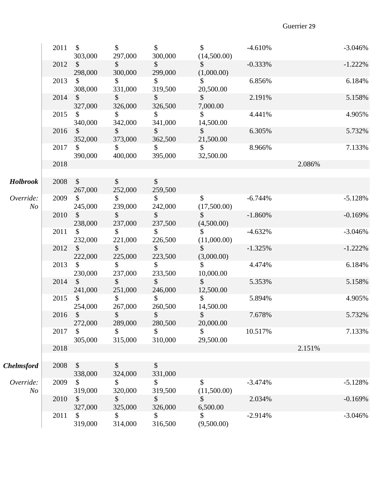|                             | 2011    | $\mathsf{\$}$<br>303,000 | $\mathcal{S}$<br>297,000     | $\mathcal{S}$<br>300,000 | $\mathbb{S}$<br>(14,500.00) | $-4.610%$ |        | $-3.046%$  |
|-----------------------------|---------|--------------------------|------------------------------|--------------------------|-----------------------------|-----------|--------|------------|
|                             | 2012    | $\mathcal{S}$<br>298,000 | $\frac{1}{2}$<br>300,000     | $\mathcal{S}$<br>299,000 | $\sim$<br>(1,000.00)        | $-0.333%$ |        | $-1.222%$  |
|                             | 2013    | \$<br>308,000            | $\mathcal{S}$<br>331,000     | \$<br>319,500            | $\mathbb{S}$<br>20,500.00   | 6.856%    |        | 6.184%     |
|                             | 2014    | $\mathcal{S}$<br>327,000 | $\mathcal{S}$<br>326,000     | $\mathcal{S}$<br>326,500 | $\mathbb{S}$<br>7,000.00    | 2.191%    |        | 5.158%     |
|                             | 2015    | $\mathcal{S}$<br>340,000 | $\mathcal{S}$<br>342,000     | $\mathsf{S}$<br>341,000  | $\mathbb{S}$<br>14,500.00   | 4.441%    |        | 4.905%     |
|                             | 2016    | $\mathcal{S}$<br>352,000 | $\mathcal{S}$<br>373,000     | $\frac{1}{2}$<br>362,500 | $\mathcal{S}$<br>21,500.00  | 6.305%    |        | 5.732%     |
|                             | 2017    | $\mathcal{S}$<br>390,000 | $\mathbb{S}$<br>400,000      | $\mathbb{S}$<br>395,000  | $\mathbb{S}$<br>32,500.00   | 8.966%    |        | 7.133%     |
|                             | 2018    |                          |                              |                          |                             |           | 2.086% |            |
| <b>Holbrook</b>             | 2008    | $\mathcal{S}$<br>267,000 | $\mathcal{S}$<br>252,000     | $\mathcal{S}$<br>259,500 |                             |           |        |            |
| Override:<br>N <sub>o</sub> | 2009    | $\mathcal{S}$<br>245,000 | $\mathcal{S}$<br>239,000     | $\mathsf{\$}$<br>242,000 | $\mathbb{S}$<br>(17,500.00) | $-6.744%$ |        | $-5.128%$  |
|                             | 2010    | $\mathcal{S}$<br>238,000 | $\mathcal{S}$<br>237,000     | $\mathcal{S}$<br>237,500 | $\mathbb{S}$<br>(4,500.00)  | $-1.860%$ |        | $-0.169%$  |
|                             | 2011    | $\mathcal{S}$<br>232,000 | $\mathcal{S}$<br>221,000     | $\mathcal{S}$<br>226,500 | $\mathbb{S}$<br>(11,000.00) | $-4.632%$ |        | $-3.046%$  |
|                             | 2012    | $\mathsf{\$}$<br>222,000 | $\mathsf{\$}$<br>225,000     | $\mathsf{S}$<br>223,500  | $\mathbb{S}$<br>(3,000.00)  | $-1.325%$ |        | $-1.222\%$ |
|                             | 2013    | $\mathbb{S}$<br>230,000  | $\mathbb{S}$<br>237,000      | $\mathcal{S}$<br>233,500 | $\mathbb{S}$<br>10,000.00   | 4.474%    |        | 6.184%     |
|                             | 2014    | $\mathsf{\$}$<br>241,000 | $\mathcal{S}$<br>251,000     | $\sim$<br>246,000        | $\mathbb{S}$<br>12,500.00   | 5.353%    |        | 5.158%     |
|                             | 2015    | $\mathcal{S}$<br>254,000 | $\mathcal{S}$<br>267,000     | $\mathcal{S}$<br>260,500 | $\mathcal{S}$<br>14,500.00  | 5.894%    |        | 4.905%     |
|                             | 2016 \$ | 272,000                  | $\mathbb{R}$<br>Φ<br>289,000 | $\mathbb{S}$<br>280,500  | $\mathfrak{D}$<br>20,000.00 | 7.678%    |        | 5.732%     |
|                             | 2017    | \$<br>305,000            | $\mathcal{S}$<br>315,000     | \$<br>310,000            | $\mathbb{S}$<br>29,500.00   | 10.517%   |        | 7.133%     |
|                             | 2018    |                          |                              |                          |                             |           | 2.151% |            |
| <b>Chelmsford</b>           | 2008    | \$<br>338,000            | $\mathcal{L}$<br>324,000     | \$<br>331,000            |                             |           |        |            |
| Override:<br>N <sub>o</sub> | 2009    | \$<br>319,000            | \$<br>320,000                | \$<br>319,500            | \$<br>(11,500.00)           | $-3.474%$ |        | $-5.128%$  |
|                             | 2010    | \$<br>327,000            | \$<br>325,000                | \$<br>326,000            | \$<br>6,500.00              | 2.034%    |        | $-0.169%$  |
|                             | 2011    | \$<br>319,000            | \$<br>314,000                | \$<br>316,500            | \$<br>(9,500.00)            | $-2.914%$ |        | $-3.046%$  |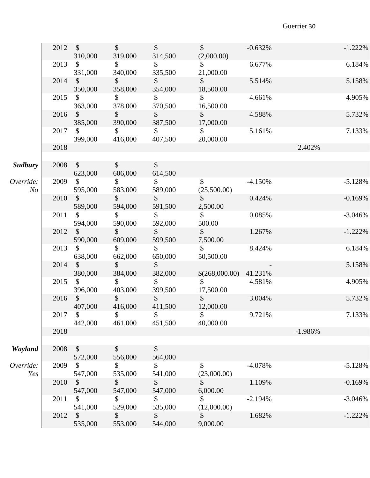|                  |           | 2012 \$<br>310,000                       | $\sim$<br>319,000        | $\sim$<br>314,500            | $\sim$<br>(2,000.00)                      | $-0.632%$ | $-1.222\%$ |
|------------------|-----------|------------------------------------------|--------------------------|------------------------------|-------------------------------------------|-----------|------------|
|                  | 2013      | $\mathcal{S}$<br>331,000                 | $\sim$<br>340,000        | $\mathcal{S}$<br>335,500     | $\sim$<br>21,000.00                       | 6.677%    | 6.184%     |
|                  |           | 2014 \$<br>350,000                       | $\sim$<br>358,000        | $\sim$<br>354,000            | $\mathbb{S}$<br>18,500.00                 | 5.514%    | 5.158%     |
|                  | 2015      | $\mathcal{S}$<br>363,000                 | $\sim$<br>378,000        | $\mathbb{S}$<br>370,500      | $\mathcal{S}$<br>16,500.00                | 4.661%    | 4.905%     |
|                  | 2016      | $\sim$<br>385,000                        | $\sim$<br>390,000        | $\mathsf{\$}$<br>387,500     | $\sim$<br>17,000.00                       | 4.588%    | 5.732%     |
|                  | 2017      | $\mathbb{S}$<br>399,000                  | $\mathbb{S}$<br>416,000  | $\mathbb{S}$<br>407,500      | $\mathbb{S}$<br>20,000.00                 | 5.161%    | 7.133%     |
|                  | 2018      |                                          |                          |                              |                                           |           | 2.402%     |
| <b>Sudbury</b>   | 2008      | $\sim$<br>623,000                        | $\sim$<br>606,000        | $\sqrt$<br>614,500           |                                           |           |            |
| Override:<br>N o | 2009      | $\mathbb{S}$<br>595,000                  | $\mathbb{S}$<br>583,000  | $\mathbb{S}$<br>589,000      | $\mathbb{S}$<br>(25,500.00)               | $-4.150%$ | $-5.128%$  |
|                  | 2010      | $\sqrt{\ }$<br>589,000                   | $\mathbb{S}$<br>594,000  | $\mathsf{\$}$<br>591,500     | $\mathbb{S}$<br>2,500.00                  | 0.424%    | $-0.169%$  |
|                  |           | 2011 \$<br>594,000                       | $\sim$<br>590,000        | $\sim$<br>592,000            | $\mathcal{S}$<br>500.00                   | 0.085%    | $-3.046%$  |
|                  | 2012      | $\mathcal{S}$<br>590,000                 | $\sim$<br>609,000        | $\mathbb{S}$<br>599,500      | $\mathbb{S}$ and $\mathbb{S}$<br>7,500.00 | 1.267%    | $-1.222\%$ |
|                  | 2013      | $\mathcal{S}$<br>638,000                 | $\mathbb{S}$<br>662,000  | $\mathcal{S}$<br>650,000     | $\mathbb{S}$<br>50,500.00                 | 8.424%    | 6.184%     |
|                  | 2014      | $\mathbb{S}$ and $\mathbb{S}$<br>380,000 | $\mathsf{\$}$<br>384,000 | $\mathbb{S}$<br>382,000      | $$(268,000.00)$ 41.231\%                  |           | 5.158%     |
|                  | 2015      | $\mathbb{S}$<br>396,000                  | $\mathcal{S}$<br>403,000 | $\mathbb{S}$                 | $\mathbb{S}$<br>$399,500$ $17,500.00$     | 4.581%    | 4.905%     |
|                  | $2016$ \$ | 407,000                                  | $\mathbb{S}$<br>416,000  | $\mathcal{S}$                | $\mathbb{S}$<br>411,500 12,000.00         | 3.004%    | 5.732%     |
|                  | 2017      | $\mathbb{S}$<br>442,000                  | \$<br>461,000            | \$<br>451,500                | \$<br>40,000.00                           | 9.721%    | 7.133%     |
|                  | 2018      |                                          |                          |                              |                                           |           | $-1.986%$  |
| Wayland          | 2008      | $\boldsymbol{\mathsf{S}}$<br>572,000     | \$<br>556,000            | $\boldsymbol{\$}$<br>564,000 |                                           |           |            |
| Override:<br>Yes | 2009      | \$<br>547,000                            | \$<br>535,000            | \$<br>541,000                | \$<br>(23,000.00)                         | $-4.078%$ | $-5.128%$  |
|                  | 2010      | $\mathcal{S}$<br>547,000                 | \$<br>547,000            | $\mathcal{S}$<br>547,000     | \$<br>6,000.00                            | 1.109%    | $-0.169%$  |
|                  | 2011      | \$<br>541,000                            | \$<br>529,000            | \$<br>535,000                | \$<br>(12,000.00)                         | $-2.194%$ | $-3.046%$  |
|                  | 2012      | \$<br>535,000                            | \$<br>553,000            | \$<br>544,000                | \$<br>9,000.00                            | 1.682%    | $-1.222\%$ |
|                  |           |                                          |                          |                              |                                           |           |            |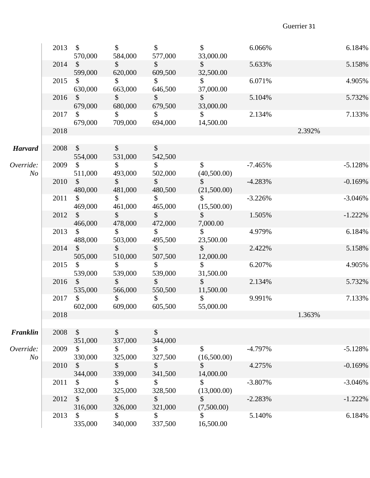|                  | $2013 \quad$ \$ | 570,000                              | $\mathcal{S}$<br>584,000  | $\mathcal{S}$<br>577,000 | $\mathcal{S}$<br>33,000.00    | 6.066%    | 6.184%     |
|------------------|-----------------|--------------------------------------|---------------------------|--------------------------|-------------------------------|-----------|------------|
|                  | 2014            | $\mathcal{S}$<br>599,000             | $\sim$<br>620,000         | $\mathsf{\$}$<br>609,500 | $\sim$<br>32,500.00           | 5.633%    | 5.158%     |
|                  | 2015            | $\mathcal{S}$<br>630,000             | $\sim$<br>663,000         | $\sim$<br>646,500        | $\sim$<br>37,000.00           | 6.071%    | 4.905%     |
|                  | 2016            | $\sim$<br>679,000                    | $\sim$<br>680,000         | $\mathbb{S}$<br>679,500  | $\sim$<br>33,000.00           | 5.104%    | 5.732%     |
|                  | 2017            | $\mathcal{S}$<br>679,000             | $\mathbb{S}$<br>709,000   | $\mathbb{S}$<br>694,000  | $\mathbb{S}$<br>14,500.00     | 2.134%    | 7.133%     |
|                  | 2018            |                                      |                           |                          |                               |           | 2.392%     |
| <b>Harvard</b>   |                 | 2008 \$<br>554,000                   | $\mathsf{\$}$<br>531,000  | $\mathcal{S}$<br>542,500 |                               |           |            |
| Override:<br>N o | 2009            | $\sim$<br>511,000                    | $\mathbb{S}$<br>493,000   | $\mathbb{S}$<br>502,000  | $\mathbb{S}$<br>(40,500.00)   | $-7.465%$ | $-5.128%$  |
|                  | 2010            | $\mathcal{S}$<br>480,000             | $\sim$<br>481,000         | $\sim$<br>480,500        | $\sim$<br>(21,500.00)         | $-4.283%$ | $-0.169%$  |
|                  | 2011            | $\sim$<br>469,000                    | $\sim$<br>461,000         | $\mathbb{S}$<br>465,000  | $\mathbb{S}$<br>(15,500.00)   | $-3.226%$ | $-3.046%$  |
|                  | 2012            | $\mathcal{S}$<br>466,000             | $\mathbb{S}$<br>478,000   | $\mathbb{S}$<br>472,000  | $\sim$<br>7,000.00            | 1.505%    | $-1.222\%$ |
|                  | 2013            | $\sim$<br>488,000                    | $\mathsf{\$}$<br>503,000  | $\mathsf{\$}$<br>495,500 | $\mathbb{S}$<br>23,500.00     | 4.979%    | 6.184%     |
|                  | 2014            | $\mathcal{S}$<br>505,000             | $\mathbb{S}$<br>510,000   | $\mathbb{S}$<br>507,500  | $\mathbb{S}$<br>12,000.00     | 2.422%    | 5.158%     |
|                  | 2015            | $\mathcal{S}$<br>539,000             | $\mathsf{\$}$<br>539,000  | $\mathsf{\$}$<br>539,000 | $\sim$<br>31,500.00           | 6.207%    | 4.905%     |
|                  |                 | 2016 \$<br>535,000                   | $\sim$<br>566,000         | $\int$<br>550,500        | $\mathbb{S}$<br>11,500.00     | 2.134%    | 5.732%     |
|                  | 2017            | $\mathcal{S}$<br>602,000             | $\mathbb{S}$<br>609,000   | $\mathbb{S}$<br>605,500  | $\mathbb{S}$<br>55,000.00     | 9.991%    | 7.133%     |
|                  | 2018            |                                      |                           |                          |                               |           | 1.363%     |
| Franklin         | 2008            | $\mathcal{S}$                        | $\boldsymbol{\mathsf{S}}$ | $\sqrt{\ }$              |                               |           |            |
| Override:        | 2009            | 351,000<br>$\mathbb{S}$              | 337,000<br>\$             | 344,000<br>$\mathbb{S}$  | $\mathbb{S}$                  | $-4.797%$ | $-5.128%$  |
| N <sub>O</sub>   | 2010            | 330,000<br>$\boldsymbol{\mathsf{S}}$ | 325,000<br>\$             | 327,500<br>\$            | (16,500.00)<br>\$             | 4.275%    | $-0.169%$  |
|                  | 2011            | 344,000<br>$\mathbb{S}$              | 339,000<br>\$             | 341,500<br>\$            | 14,000.00<br>$\mathcal{S}$    | $-3.807%$ | $-3.046%$  |
|                  | 2012            | 332,000<br>\$                        | 325,000<br>\$             | 328,500<br>$\mathcal{S}$ | (13,000.00)<br>\$             | $-2.283%$ | $-1.222\%$ |
|                  | 2013            | 316,000<br>\$<br>335,000             | 326,000<br>\$<br>340,000  | 321,000<br>\$<br>337,500 | (7,500.00)<br>\$<br>16,500.00 | 5.140%    | 6.184%     |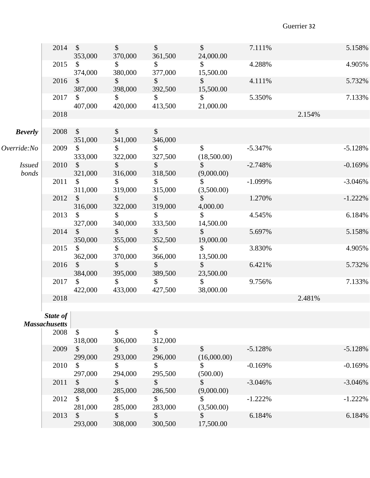|                        | 2014                                     | $\mathcal{S}$<br>353,000             | $\mathcal{S}$<br>370,000 | $\mathcal{S}$<br>361,500             | $\mathcal{S}$<br>24,000.00   | 7.111%    | 5.158%     |
|------------------------|------------------------------------------|--------------------------------------|--------------------------|--------------------------------------|------------------------------|-----------|------------|
|                        | 2015                                     | \$<br>374,000                        | \$<br>380,000            | $\frac{1}{2}$<br>377,000             | \$<br>15,500.00              | 4.288%    | 4.905%     |
|                        | 2016                                     | $\boldsymbol{\mathsf{S}}$<br>387,000 | $\mathcal{S}$<br>398,000 | $\mathcal{S}$<br>392,500             | $\mathcal{S}$<br>15,500.00   | 4.111%    | 5.732%     |
|                        | 2017                                     | $\mathbb{S}$<br>407,000              | $\mathcal{S}$<br>420,000 | $\mathbb{S}$<br>413,500              | $\mathbb{S}$<br>21,000.00    | 5.350%    | 7.133%     |
|                        | 2018                                     |                                      |                          |                                      |                              |           | 2.154%     |
| <b>Beverly</b>         | 2008                                     | $\mathcal{S}$<br>351,000             | $\mathcal{S}$<br>341,000 | $\boldsymbol{\mathsf{S}}$<br>346,000 |                              |           |            |
| Override:No            | 2009                                     | $\mathcal{S}$<br>333,000             | \$<br>322,000            | $\mathcal{S}$<br>327,500             | \$<br>(18,500.00)            | $-5.347%$ | $-5.128%$  |
| <i>Issued</i><br>bonds | 2010                                     | $\frac{1}{2}$<br>321,000             | $\mathcal{S}$<br>316,000 | $\frac{1}{2}$<br>318,500             | $\frac{1}{2}$<br>(9,000.00)  | $-2.748%$ | $-0.169%$  |
|                        | 2011                                     | $\mathbb{S}$<br>311,000              | $\mathbb{S}$<br>319,000  | $\mathcal{S}$<br>315,000             | $\mathcal{S}$<br>(3,500.00)  | $-1.099%$ | $-3.046%$  |
|                        | 2012                                     | $\mathbb{S}$<br>316,000              | $\mathbb{S}$<br>322,000  | $\mathbb{S}$<br>319,000              | $\mathbb{S}$<br>4,000.00     | 1.270%    | $-1.222\%$ |
|                        | 2013                                     | \$<br>327,000                        | $\mathbb{S}$<br>340,000  | $\mathcal{S}$<br>333,500             | $\mathbb{S}$<br>14,500.00    | 4.545%    | 6.184%     |
|                        | 2014                                     | $\mathcal{S}$<br>350,000             | $\mathcal{S}$<br>355,000 | $\frac{1}{2}$<br>352,500             | $\frac{1}{2}$<br>19,000.00   | 5.697%    | 5.158%     |
|                        | 2015                                     | \$<br>362,000                        | $\mathcal{S}$<br>370,000 | $\mathcal{L}$<br>366,000             | $\mathcal{S}$<br>13,500.00   | 3.830%    | 4.905%     |
|                        | 2016                                     | $\mathcal{S}$<br>384,000             | $\mathbb{S}$<br>395,000  | $\mathcal{S}$<br>389,500             | $\mathsf{S}$<br>23,500.00    | 6.421%    | 5.732%     |
|                        | 2017                                     | $\mathbb{S}$<br>422,000              | $\mathbb{S}$<br>433,000  | $\mathbb{S}$<br>427,500              | $\mathbb{S}^-$<br>38,000.00  | 9.756%    | 7.133%     |
|                        | 2018                                     |                                      |                          |                                      |                              |           | 2.481%     |
|                        | State of $\vert$<br><b>Massachusetts</b> |                                      |                          |                                      |                              |           |            |
|                        | 2008                                     | \$<br>318,000                        | \$<br>306,000            | \$<br>312,000                        |                              |           |            |
|                        | 2009                                     | \$<br>299,000                        | \$<br>293,000            | \$<br>296,000                        | $\mathcal{S}$<br>(16,000.00) | $-5.128%$ | $-5.128%$  |
|                        | 2010                                     | \$<br>297,000                        | \$<br>294,000            | \$<br>295,500                        | \$<br>(500.00)               | $-0.169%$ | $-0.169%$  |
|                        | 2011                                     | $\boldsymbol{\mathsf{S}}$<br>288,000 | \$<br>285,000            | \$<br>286,500                        | \$<br>(9,000.00)             | $-3.046%$ | $-3.046%$  |
|                        | 2012                                     | $\mathcal{S}$<br>281,000             | \$<br>285,000            | \$<br>283,000                        | \$<br>(3,500.00)             | $-1.222%$ | $-1.222%$  |
|                        | 2013                                     | \$<br>293,000                        | \$<br>308,000            | \$<br>300,500                        | \$<br>17,500.00              | 6.184%    | 6.184%     |
|                        |                                          |                                      |                          |                                      |                              |           |            |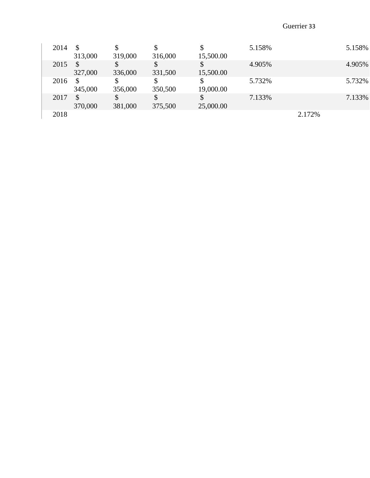| 2014 | \$<br>313,000 | 319,000 | 316,000 | Φ<br>15,500.00 | 5.158% |        | 5.158% |
|------|---------------|---------|---------|----------------|--------|--------|--------|
| 2015 | S<br>327,000  | 336,000 | 331,500 | 15,500.00      | 4.905% |        | 4.905% |
| 2016 | \$<br>345,000 | 356,000 | 350,500 | 19,000.00      | 5.732% |        | 5.732% |
| 2017 | \$<br>370,000 | 381,000 | 375,500 | 25,000.00      | 7.133% |        | 7.133% |
| 2018 |               |         |         |                |        | 2.172% |        |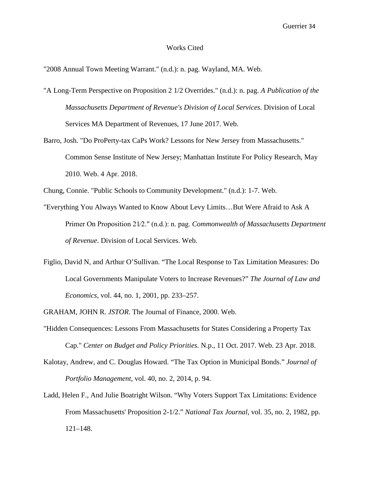#### Works Cited

"2008 Annual Town Meeting Warrant." (n.d.): n. pag. Wayland, MA. Web.

- "A Long-Term Perspective on Proposition 2 1/2 Overrides." (n.d.): n. pag. *A Publication of the Massachusetts Department of Revenue's Division of Local Services*. Division of Local Services MA Department of Revenues, 17 June 2017. Web.
- Barro, Josh. "Do ProPerty-tax CaPs Work? Lessons for New Jersey from Massachusetts." Common Sense Institute of New Jersey; Manhattan Institute For Policy Research, May 2010. Web. 4 Apr. 2018.

Chung, Connie. "Public Schools to Community Development." (n.d.): 1-7. Web.

- "Everything You Always Wanted to Know About Levy Limits…But Were Afraid to Ask A Primer On Proposition 21⁄2." (n.d.): n. pag. *Commonwealth of Massachusetts Department of Revenue*. Division of Local Services. Web.
- Figlio, David N, and Arthur O'Sullivan. "The Local Response to Tax Limitation Measures: Do Local Governments Manipulate Voters to Increase Revenues?" *The Journal of Law and Economics*, vol. 44, no. 1, 2001, pp. 233–257.

GRAHAM, JOHN R. *JSTOR*. The Journal of Finance, 2000. Web.

- "Hidden Consequences: Lessons From Massachusetts for States Considering a Property Tax Cap." *Center on Budget and Policy Priorities*. N.p., 11 Oct. 2017. Web. 23 Apr. 2018.
- Kalotay, Andrew, and C. Douglas Howard. "The Tax Option in Municipal Bonds." *Journal of Portfolio Management*, vol. 40, no. 2, 2014, p. 94.
- Ladd, Helen F., And Julie Boatright Wilson. "Why Voters Support Tax Limitations: Evidence From Massachusetts' Proposition 2-1/2." *National Tax Journal*, vol. 35, no. 2, 1982, pp. 121–148.